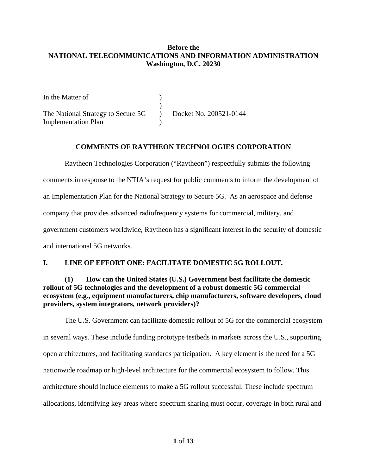### **Before the NATIONAL TELECOMMUNICATIONS AND INFORMATION ADMINISTRATION Washington, D.C. 20230**

In the Matter of (1) ) The National Strategy to Secure 5G ) Docket No. 200521-0144 Implementation Plan )

#### **COMMENTS OF RAYTHEON TECHNOLOGIES CORPORATION**

Raytheon Technologies Corporation ("Raytheon") respectfully submits the following comments in response to the NTIA's request for public comments to inform the development of an Implementation Plan for the National Strategy to Secure 5G. As an aerospace and defense company that provides advanced radiofrequency systems for commercial, military, and government customers worldwide, Raytheon has a significant interest in the security of domestic and international 5G networks.

# **I. LINE OF EFFORT ONE: FACILITATE DOMESTIC 5G ROLLOUT.**

### **(1) How can the United States (U.S.) Government best facilitate the domestic rollout of 5G technologies and the development of a robust domestic 5G commercial ecosystem (e.g., equipment manufacturers, chip manufacturers, software developers, cloud providers, system integrators, network providers)?**

The U.S. Government can facilitate domestic rollout of 5G for the commercial ecosystem in several ways. These include funding prototype testbeds in markets across the U.S., supporting open architectures, and facilitating standards participation. A key element is the need for a 5G nationwide roadmap or high-level architecture for the commercial ecosystem to follow. This architecture should include elements to make a 5G rollout successful. These include spectrum allocations, identifying key areas where spectrum sharing must occur, coverage in both rural and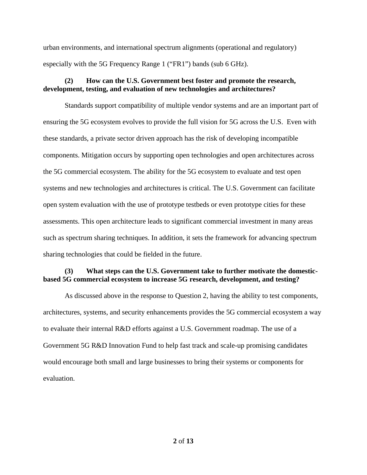urban environments, and international spectrum alignments (operational and regulatory) especially with the 5G Frequency Range 1 ("FR1") bands (sub 6 GHz).

#### **(2) How can the U.S. Government best foster and promote the research, development, testing, and evaluation of new technologies and architectures?**

Standards support compatibility of multiple vendor systems and are an important part of ensuring the 5G ecosystem evolves to provide the full vision for 5G across the U.S. Even with these standards, a private sector driven approach has the risk of developing incompatible components. Mitigation occurs by supporting open technologies and open architectures across the 5G commercial ecosystem. The ability for the 5G ecosystem to evaluate and test open systems and new technologies and architectures is critical. The U.S. Government can facilitate open system evaluation with the use of prototype testbeds or even prototype cities for these assessments. This open architecture leads to significant commercial investment in many areas such as spectrum sharing techniques. In addition, it sets the framework for advancing spectrum sharing technologies that could be fielded in the future.

#### **(3) What steps can the U.S. Government take to further motivate the domesticbased 5G commercial ecosystem to increase 5G research, development, and testing?**

As discussed above in the response to Question 2, having the ability to test components, architectures, systems, and security enhancements provides the 5G commercial ecosystem a way to evaluate their internal R&D efforts against a U.S. Government roadmap. The use of a Government 5G R&D Innovation Fund to help fast track and scale-up promising candidates would encourage both small and large businesses to bring their systems or components for evaluation.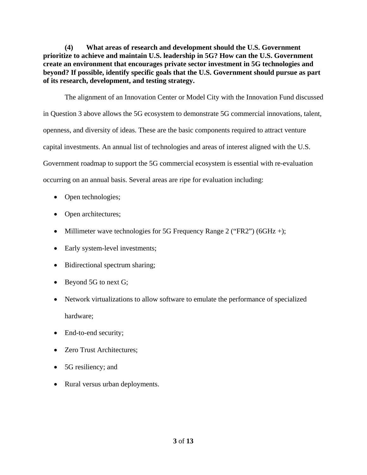**(4) What areas of research and development should the U.S. Government prioritize to achieve and maintain U.S. leadership in 5G? How can the U.S. Government create an environment that encourages private sector investment in 5G technologies and beyond? If possible, identify specific goals that the U.S. Government should pursue as part of its research, development, and testing strategy.**

The alignment of an Innovation Center or Model City with the Innovation Fund discussed in Question 3 above allows the 5G ecosystem to demonstrate 5G commercial innovations, talent, openness, and diversity of ideas. These are the basic components required to attract venture capital investments. An annual list of technologies and areas of interest aligned with the U.S. Government roadmap to support the 5G commercial ecosystem is essential with re-evaluation occurring on an annual basis. Several areas are ripe for evaluation including:

- Open technologies;
- Open architectures;
- Millimeter wave technologies for 5G Frequency Range 2 ("FR2") (6GHz +);
- Early system-level investments;
- Bidirectional spectrum sharing;
- Beyond 5G to next G;
- Network virtualizations to allow software to emulate the performance of specialized hardware;
- End-to-end security;
- Zero Trust Architectures:
- 5G resiliency; and
- Rural versus urban deployments.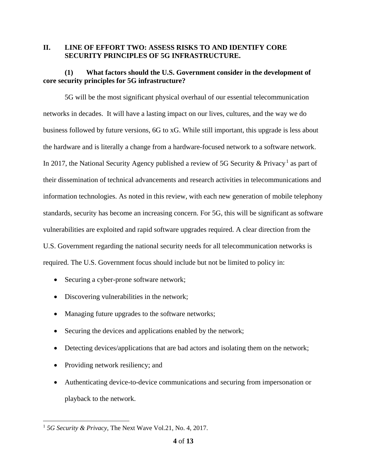#### **II. LINE OF EFFORT TWO: ASSESS RISKS TO AND IDENTIFY CORE SECURITY PRINCIPLES OF 5G INFRASTRUCTURE.**

# **(1) What factors should the U.S. Government consider in the development of core security principles for 5G infrastructure?**

5G will be the most significant physical overhaul of our essential telecommunication networks in decades. It will have a lasting impact on our lives, cultures, and the way we do business followed by future versions, 6G to xG. While still important, this upgrade is less about the hardware and is literally a change from a hardware-focused network to a software network. In 2017, the National Security Agency published a review of 5G Security & Privacy.<sup>1</sup> as part of their dissemination of technical advancements and research activities in telecommunications and information technologies. As noted in this review, with each new generation of mobile telephony standards, security has become an increasing concern. For 5G, this will be significant as software vulnerabilities are exploited and rapid software upgrades required. A clear direction from the U.S. Government regarding the national security needs for all telecommunication networks is required. The U.S. Government focus should include but not be limited to policy in:

- Securing a cyber-prone software network;
- Discovering vulnerabilities in the network;
- Managing future upgrades to the software networks;
- Securing the devices and applications enabled by the network;
- Detecting devices/applications that are bad actors and isolating them on the network;
- Providing network resiliency; and
- Authenticating device-to-device communications and securing from impersonation or playback to the network.

 <sup>1</sup> *5G Security & Privacy*, The Next Wave Vol.21, No. 4, 2017.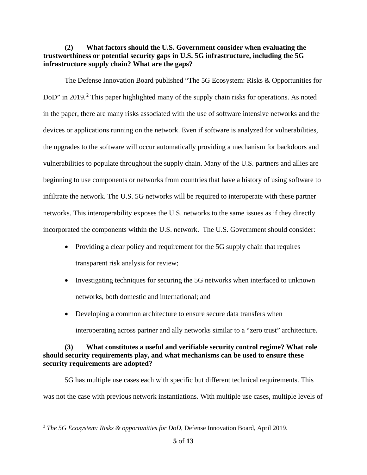**(2) What factors should the U.S. Government consider when evaluating the trustworthiness or potential security gaps in U.S. 5G infrastructure, including the 5G infrastructure supply chain? What are the gaps?**

The Defense Innovation Board published "The 5G Ecosystem: Risks & Opportunities for DoD" in 2019.<sup>2</sup> This paper highlighted many of the supply chain risks for operations. As noted in the paper, there are many risks associated with the use of software intensive networks and the devices or applications running on the network. Even if software is analyzed for vulnerabilities, the upgrades to the software will occur automatically providing a mechanism for backdoors and vulnerabilities to populate throughout the supply chain. Many of the U.S. partners and allies are beginning to use components or networks from countries that have a history of using software to infiltrate the network. The U.S. 5G networks will be required to interoperate with these partner networks. This interoperability exposes the U.S. networks to the same issues as if they directly incorporated the components within the U.S. network. The U.S. Government should consider:

- Providing a clear policy and requirement for the 5G supply chain that requires transparent risk analysis for review;
- Investigating techniques for securing the 5G networks when interfaced to unknown networks, both domestic and international; and
- Developing a common architecture to ensure secure data transfers when

interoperating across partner and ally networks similar to a "zero trust" architecture.

# **(3) What constitutes a useful and verifiable security control regime? What role should security requirements play, and what mechanisms can be used to ensure these security requirements are adopted?**

5G has multiple use cases each with specific but different technical requirements. This was not the case with previous network instantiations. With multiple use cases, multiple levels of

 <sup>2</sup> *The 5G Ecosystem: Risks & opportunities for DoD*, Defense Innovation Board, April 2019.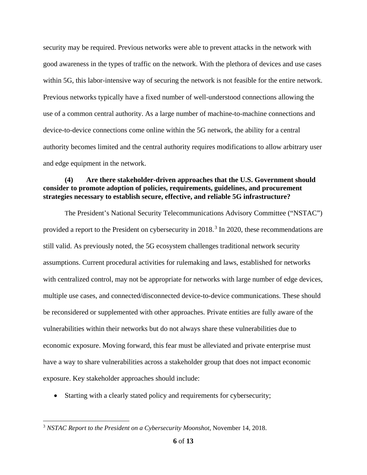security may be required. Previous networks were able to prevent attacks in the network with good awareness in the types of traffic on the network. With the plethora of devices and use cases within 5G, this labor-intensive way of securing the network is not feasible for the entire network. Previous networks typically have a fixed number of well-understood connections allowing the use of a common central authority. As a large number of machine-to-machine connections and device-to-device connections come online within the 5G network, the ability for a central authority becomes limited and the central authority requires modifications to allow arbitrary user and edge equipment in the network.

### **(4) Are there stakeholder-driven approaches that the U.S. Government should consider to promote adoption of policies, requirements, guidelines, and procurement strategies necessary to establish secure, effective, and reliable 5G infrastructure?**

The President's National Security Telecommunications Advisory Committee ("NSTAC") provided a report to the President on cybersecurity in 2018.<sup>3</sup> In 2020, these recommendations are still valid. As previously noted, the 5G ecosystem challenges traditional network security assumptions. Current procedural activities for rulemaking and laws, established for networks with centralized control, may not be appropriate for networks with large number of edge devices, multiple use cases, and connected/disconnected device-to-device communications. These should be reconsidered or supplemented with other approaches. Private entities are fully aware of the vulnerabilities within their networks but do not always share these vulnerabilities due to economic exposure. Moving forward, this fear must be alleviated and private enterprise must have a way to share vulnerabilities across a stakeholder group that does not impact economic exposure. Key stakeholder approaches should include:

• Starting with a clearly stated policy and requirements for cybersecurity;

 <sup>3</sup> *NSTAC Report to the President on a Cybersecurity Moonshot*, November 14, 2018.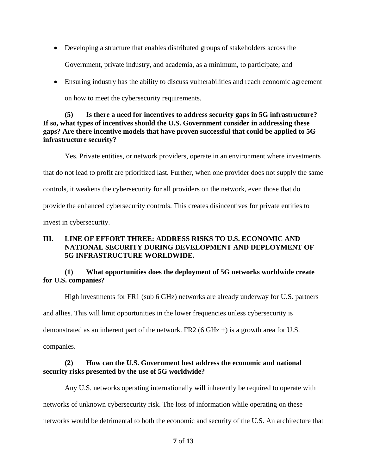- Developing a structure that enables distributed groups of stakeholders across the Government, private industry, and academia, as a minimum, to participate; and
- Ensuring industry has the ability to discuss vulnerabilities and reach economic agreement on how to meet the cybersecurity requirements.

# **(5) Is there a need for incentives to address security gaps in 5G infrastructure? If so, what types of incentives should the U.S. Government consider in addressing these gaps? Are there incentive models that have proven successful that could be applied to 5G infrastructure security?**

Yes. Private entities, or network providers, operate in an environment where investments that do not lead to profit are prioritized last. Further, when one provider does not supply the same controls, it weakens the cybersecurity for all providers on the network, even those that do provide the enhanced cybersecurity controls. This creates disincentives for private entities to invest in cybersecurity.

# **III. LINE OF EFFORT THREE: ADDRESS RISKS TO U.S. ECONOMIC AND NATIONAL SECURITY DURING DEVELOPMENT AND DEPLOYMENT OF 5G INFRASTRUCTURE WORLDWIDE.**

# **(1) What opportunities does the deployment of 5G networks worldwide create for U.S. companies?**

High investments for FR1 (sub 6 GHz) networks are already underway for U.S. partners and allies. This will limit opportunities in the lower frequencies unless cybersecurity is demonstrated as an inherent part of the network. FR2 (6 GHz +) is a growth area for U.S. companies.

# **(2) How can the U.S. Government best address the economic and national security risks presented by the use of 5G worldwide?**

Any U.S. networks operating internationally will inherently be required to operate with networks of unknown cybersecurity risk. The loss of information while operating on these networks would be detrimental to both the economic and security of the U.S. An architecture that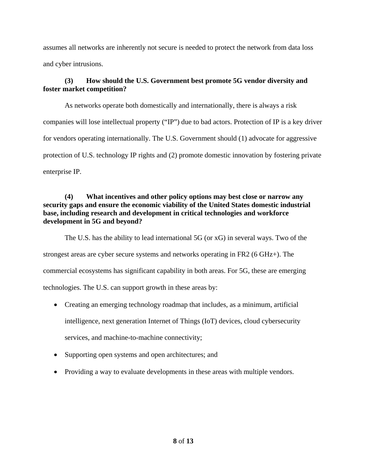assumes all networks are inherently not secure is needed to protect the network from data loss and cyber intrusions.

# **(3) How should the U.S. Government best promote 5G vendor diversity and foster market competition?**

As networks operate both domestically and internationally, there is always a risk companies will lose intellectual property ("IP") due to bad actors. Protection of IP is a key driver for vendors operating internationally. The U.S. Government should (1) advocate for aggressive protection of U.S. technology IP rights and (2) promote domestic innovation by fostering private enterprise IP.

## **(4) What incentives and other policy options may best close or narrow any security gaps and ensure the economic viability of the United States domestic industrial base, including research and development in critical technologies and workforce development in 5G and beyond?**

The U.S. has the ability to lead international 5G (or xG) in several ways. Two of the strongest areas are cyber secure systems and networks operating in FR2 (6 GHz+). The commercial ecosystems has significant capability in both areas. For 5G, these are emerging technologies. The U.S. can support growth in these areas by:

- Creating an emerging technology roadmap that includes, as a minimum, artificial intelligence, next generation Internet of Things (IoT) devices, cloud cybersecurity services, and machine-to-machine connectivity;
- Supporting open systems and open architectures; and
- Providing a way to evaluate developments in these areas with multiple vendors.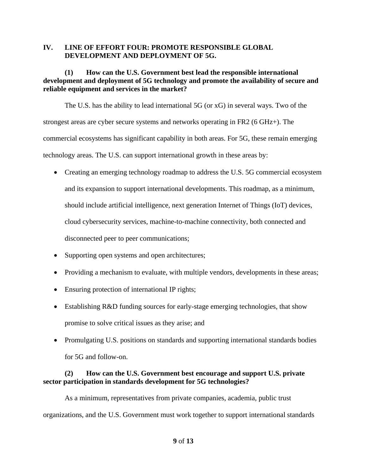### **IV. LINE OF EFFORT FOUR: PROMOTE RESPONSIBLE GLOBAL DEVELOPMENT AND DEPLOYMENT OF 5G.**

# **(1) How can the U.S. Government best lead the responsible international development and deployment of 5G technology and promote the availability of secure and reliable equipment and services in the market?**

The U.S. has the ability to lead international 5G (or xG) in several ways. Two of the strongest areas are cyber secure systems and networks operating in FR2 (6 GHz+). The commercial ecosystems has significant capability in both areas. For 5G, these remain emerging technology areas. The U.S. can support international growth in these areas by:

- Creating an emerging technology roadmap to address the U.S. 5G commercial ecosystem and its expansion to support international developments. This roadmap, as a minimum, should include artificial intelligence, next generation Internet of Things (IoT) devices, cloud cybersecurity services, machine-to-machine connectivity, both connected and disconnected peer to peer communications;
- Supporting open systems and open architectures;
- Providing a mechanism to evaluate, with multiple vendors, developments in these areas;
- Ensuring protection of international IP rights;
- Establishing R&D funding sources for early-stage emerging technologies, that show promise to solve critical issues as they arise; and
- Promulgating U.S. positions on standards and supporting international standards bodies for 5G and follow-on.

# **(2) How can the U.S. Government best encourage and support U.S. private sector participation in standards development for 5G technologies?**

As a minimum, representatives from private companies, academia, public trust organizations, and the U.S. Government must work together to support international standards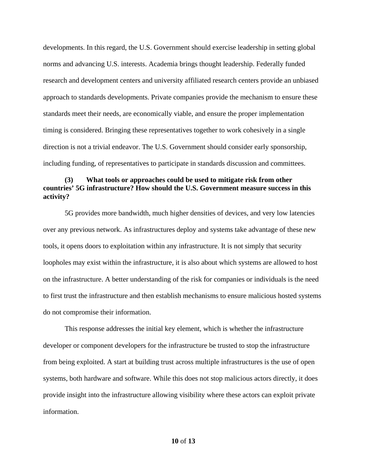developments. In this regard, the U.S. Government should exercise leadership in setting global norms and advancing U.S. interests. Academia brings thought leadership. Federally funded research and development centers and university affiliated research centers provide an unbiased approach to standards developments. Private companies provide the mechanism to ensure these standards meet their needs, are economically viable, and ensure the proper implementation timing is considered. Bringing these representatives together to work cohesively in a single direction is not a trivial endeavor. The U.S. Government should consider early sponsorship, including funding, of representatives to participate in standards discussion and committees.

### **(3) What tools or approaches could be used to mitigate risk from other countries' 5G infrastructure? How should the U.S. Government measure success in this activity?**

5G provides more bandwidth, much higher densities of devices, and very low latencies over any previous network. As infrastructures deploy and systems take advantage of these new tools, it opens doors to exploitation within any infrastructure. It is not simply that security loopholes may exist within the infrastructure, it is also about which systems are allowed to host on the infrastructure. A better understanding of the risk for companies or individuals is the need to first trust the infrastructure and then establish mechanisms to ensure malicious hosted systems do not compromise their information.

This response addresses the initial key element, which is whether the infrastructure developer or component developers for the infrastructure be trusted to stop the infrastructure from being exploited. A start at building trust across multiple infrastructures is the use of open systems, both hardware and software. While this does not stop malicious actors directly, it does provide insight into the infrastructure allowing visibility where these actors can exploit private information.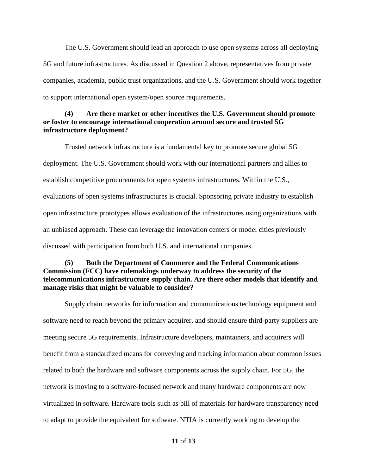The U.S. Government should lead an approach to use open systems across all deploying 5G and future infrastructures. As discussed in Question 2 above, representatives from private companies, academia, public trust organizations, and the U.S. Government should work together to support international open system/open source requirements.

### **(4) Are there market or other incentives the U.S. Government should promote or foster to encourage international cooperation around secure and trusted 5G infrastructure deployment?**

Trusted network infrastructure is a fundamental key to promote secure global 5G deployment. The U.S. Government should work with our international partners and allies to establish competitive procurements for open systems infrastructures. Within the U.S., evaluations of open systems infrastructures is crucial. Sponsoring private industry to establish open infrastructure prototypes allows evaluation of the infrastructures using organizations with an unbiased approach. These can leverage the innovation centers or model cities previously discussed with participation from both U.S. and international companies.

## **(5) Both the Department of Commerce and the Federal Communications Commission (FCC) have rulemakings underway to address the security of the telecommunications infrastructure supply chain. Are there other models that identify and manage risks that might be valuable to consider?**

Supply chain networks for information and communications technology equipment and software need to reach beyond the primary acquirer, and should ensure third-party suppliers are meeting secure 5G requirements. Infrastructure developers, maintainers, and acquirers will benefit from a standardized means for conveying and tracking information about common issues related to both the hardware and software components across the supply chain. For 5G, the network is moving to a software-focused network and many hardware components are now virtualized in software. Hardware tools such as bill of materials for hardware transparency need to adapt to provide the equivalent for software. NTIA is currently working to develop the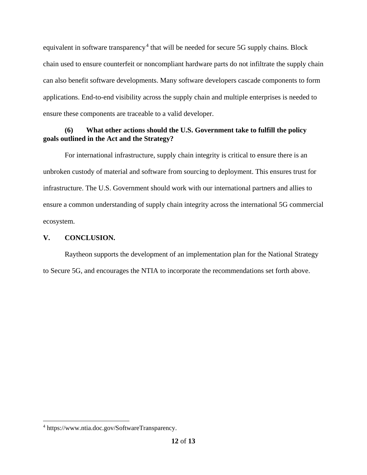equivalent in software transparency.<sup>4</sup> that will be needed for secure 5G supply chains. Block chain used to ensure counterfeit or noncompliant hardware parts do not infiltrate the supply chain can also benefit software developments. Many software developers cascade components to form applications. End-to-end visibility across the supply chain and multiple enterprises is needed to ensure these components are traceable to a valid developer.

# **(6) What other actions should the U.S. Government take to fulfill the policy goals outlined in the Act and the Strategy?**

For international infrastructure, supply chain integrity is critical to ensure there is an unbroken custody of material and software from sourcing to deployment. This ensures trust for infrastructure. The U.S. Government should work with our international partners and allies to ensure a common understanding of supply chain integrity across the international 5G commercial ecosystem.

# **V. CONCLUSION.**

Raytheon supports the development of an implementation plan for the National Strategy to Secure 5G, and encourages the NTIA to incorporate the recommendations set forth above.

 <sup>4</sup> https://www.ntia.doc.gov/SoftwareTransparency.